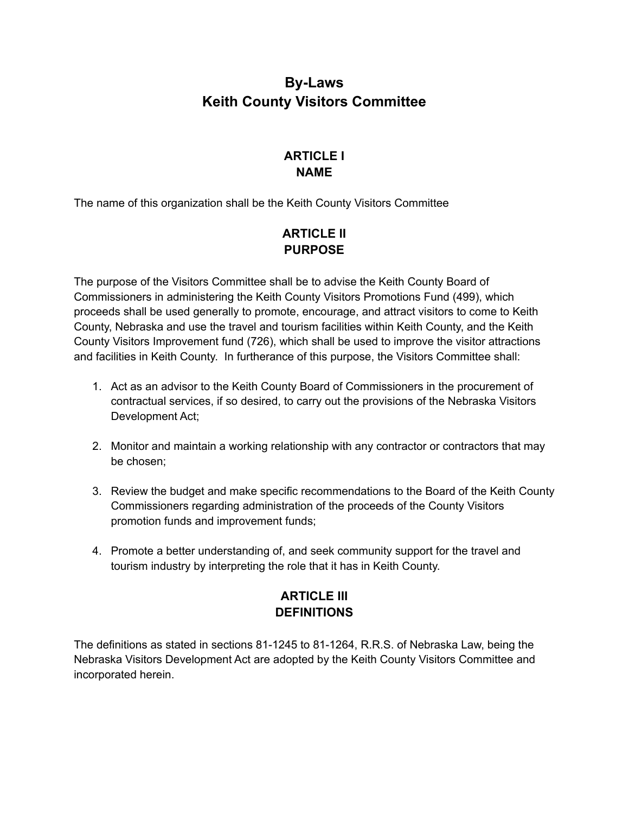# **By-Laws Keith County Visitors Committee**

## **ARTICLE I NAME**

The name of this organization shall be the Keith County Visitors Committee

### **ARTICLE II PURPOSE**

The purpose of the Visitors Committee shall be to advise the Keith County Board of Commissioners in administering the Keith County Visitors Promotions Fund (499), which proceeds shall be used generally to promote, encourage, and attract visitors to come to Keith County, Nebraska and use the travel and tourism facilities within Keith County, and the Keith County Visitors Improvement fund (726), which shall be used to improve the visitor attractions and facilities in Keith County. In furtherance of this purpose, the Visitors Committee shall:

- 1. Act as an advisor to the Keith County Board of Commissioners in the procurement of contractual services, if so desired, to carry out the provisions of the Nebraska Visitors Development Act;
- 2. Monitor and maintain a working relationship with any contractor or contractors that may be chosen;
- 3. Review the budget and make specific recommendations to the Board of the Keith County Commissioners regarding administration of the proceeds of the County Visitors promotion funds and improvement funds;
- 4. Promote a better understanding of, and seek community support for the travel and tourism industry by interpreting the role that it has in Keith County.

### **ARTICLE III DEFINITIONS**

The definitions as stated in sections 81-1245 to 81-1264, R.R.S. of Nebraska Law, being the Nebraska Visitors Development Act are adopted by the Keith County Visitors Committee and incorporated herein.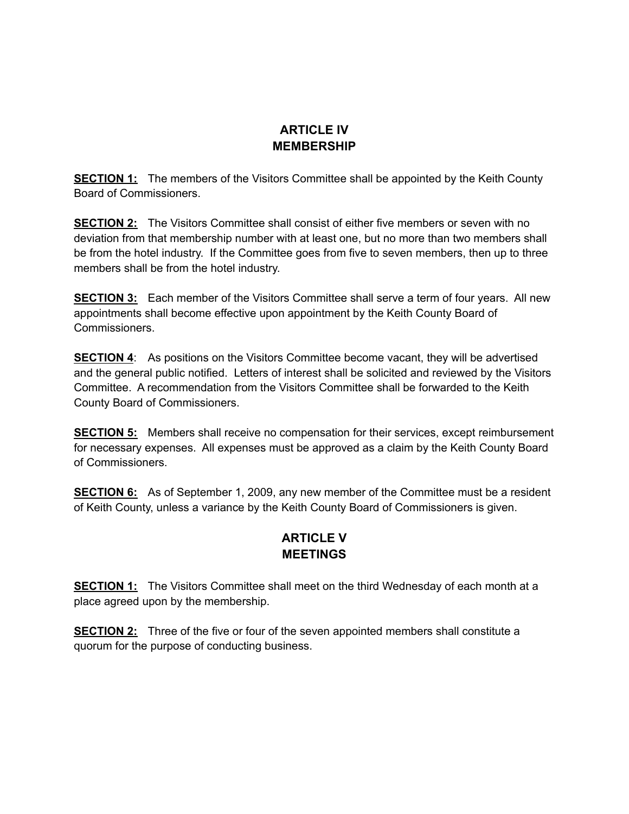### **ARTICLE IV MEMBERSHIP**

**SECTION 1:** The members of the Visitors Committee shall be appointed by the Keith County Board of Commissioners.

**SECTION 2:** The Visitors Committee shall consist of either five members or seven with no deviation from that membership number with at least one, but no more than two members shall be from the hotel industry. If the Committee goes from five to seven members, then up to three members shall be from the hotel industry.

**SECTION 3:** Each member of the Visitors Committee shall serve a term of four years. All new appointments shall become effective upon appointment by the Keith County Board of Commissioners.

**SECTION 4**: As positions on the Visitors Committee become vacant, they will be advertised and the general public notified. Letters of interest shall be solicited and reviewed by the Visitors Committee. A recommendation from the Visitors Committee shall be forwarded to the Keith County Board of Commissioners.

**SECTION 5:** Members shall receive no compensation for their services, except reimbursement for necessary expenses. All expenses must be approved as a claim by the Keith County Board of Commissioners.

**SECTION 6:** As of September 1, 2009, any new member of the Committee must be a resident of Keith County, unless a variance by the Keith County Board of Commissioners is given.

### **ARTICLE V MEETINGS**

**SECTION 1:** The Visitors Committee shall meet on the third Wednesday of each month at a place agreed upon by the membership.

**SECTION 2:** Three of the five or four of the seven appointed members shall constitute a quorum for the purpose of conducting business.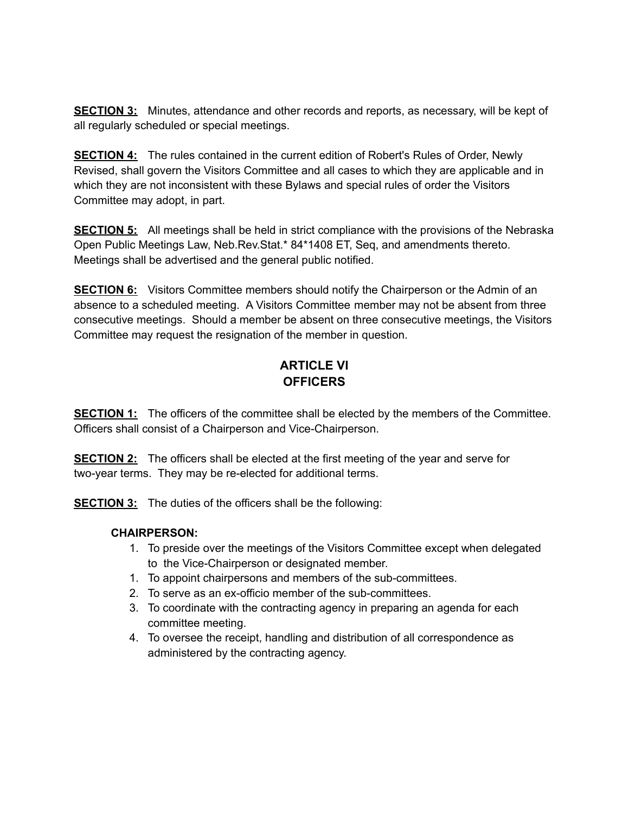**SECTION 3:** Minutes, attendance and other records and reports, as necessary, will be kept of all regularly scheduled or special meetings.

**SECTION 4:** The rules contained in the current edition of Robert's Rules of Order, Newly Revised, shall govern the Visitors Committee and all cases to which they are applicable and in which they are not inconsistent with these Bylaws and special rules of order the Visitors Committee may adopt, in part.

**SECTION 5:** All meetings shall be held in strict compliance with the provisions of the Nebraska Open Public Meetings Law, Neb.Rev.Stat.\* 84\*1408 ET, Seq, and amendments thereto. Meetings shall be advertised and the general public notified.

**SECTION 6:** Visitors Committee members should notify the Chairperson or the Admin of an absence to a scheduled meeting. A Visitors Committee member may not be absent from three consecutive meetings. Should a member be absent on three consecutive meetings, the Visitors Committee may request the resignation of the member in question.

### **ARTICLE VI OFFICERS**

**SECTION 1:** The officers of the committee shall be elected by the members of the Committee. Officers shall consist of a Chairperson and Vice-Chairperson.

**SECTION 2:** The officers shall be elected at the first meeting of the year and serve for two-year terms. They may be re-elected for additional terms.

**SECTION 3:** The duties of the officers shall be the following:

#### **CHAIRPERSON:**

- 1. To preside over the meetings of the Visitors Committee except when delegated to the Vice-Chairperson or designated member.
- 1. To appoint chairpersons and members of the sub-committees.
- 2. To serve as an ex-officio member of the sub-committees.
- 3. To coordinate with the contracting agency in preparing an agenda for each committee meeting.
- 4. To oversee the receipt, handling and distribution of all correspondence as administered by the contracting agency.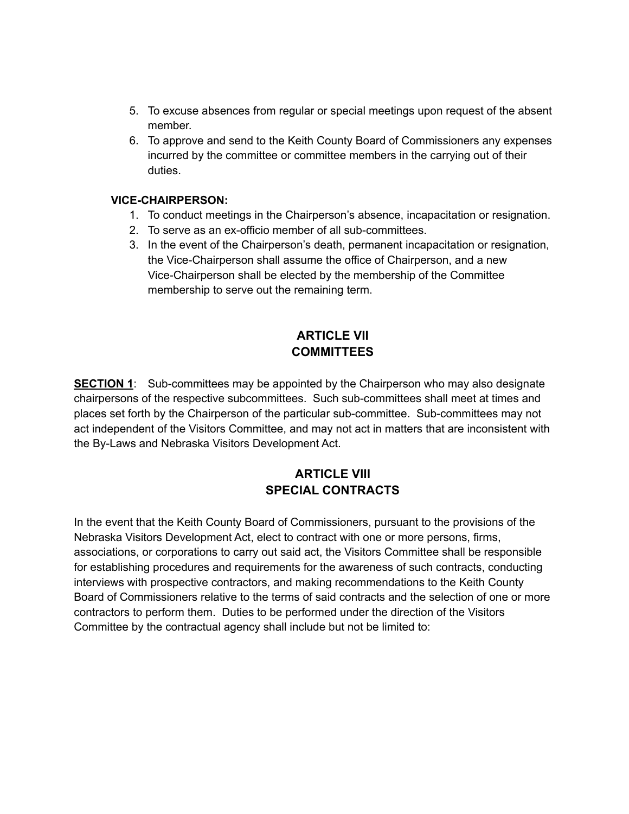- 5. To excuse absences from regular or special meetings upon request of the absent member.
- 6. To approve and send to the Keith County Board of Commissioners any expenses incurred by the committee or committee members in the carrying out of their duties.

#### **VICE-CHAIRPERSON:**

- 1. To conduct meetings in the Chairperson's absence, incapacitation or resignation.
- 2. To serve as an ex-officio member of all sub-committees.
- 3. In the event of the Chairperson's death, permanent incapacitation or resignation, the Vice-Chairperson shall assume the office of Chairperson, and a new Vice-Chairperson shall be elected by the membership of the Committee membership to serve out the remaining term.

### **ARTICLE VII COMMITTEES**

**SECTION 1**: Sub-committees may be appointed by the Chairperson who may also designate chairpersons of the respective subcommittees. Such sub-committees shall meet at times and places set forth by the Chairperson of the particular sub-committee. Sub-committees may not act independent of the Visitors Committee, and may not act in matters that are inconsistent with the By-Laws and Nebraska Visitors Development Act.

### **ARTICLE VIII SPECIAL CONTRACTS**

In the event that the Keith County Board of Commissioners, pursuant to the provisions of the Nebraska Visitors Development Act, elect to contract with one or more persons, firms, associations, or corporations to carry out said act, the Visitors Committee shall be responsible for establishing procedures and requirements for the awareness of such contracts, conducting interviews with prospective contractors, and making recommendations to the Keith County Board of Commissioners relative to the terms of said contracts and the selection of one or more contractors to perform them. Duties to be performed under the direction of the Visitors Committee by the contractual agency shall include but not be limited to: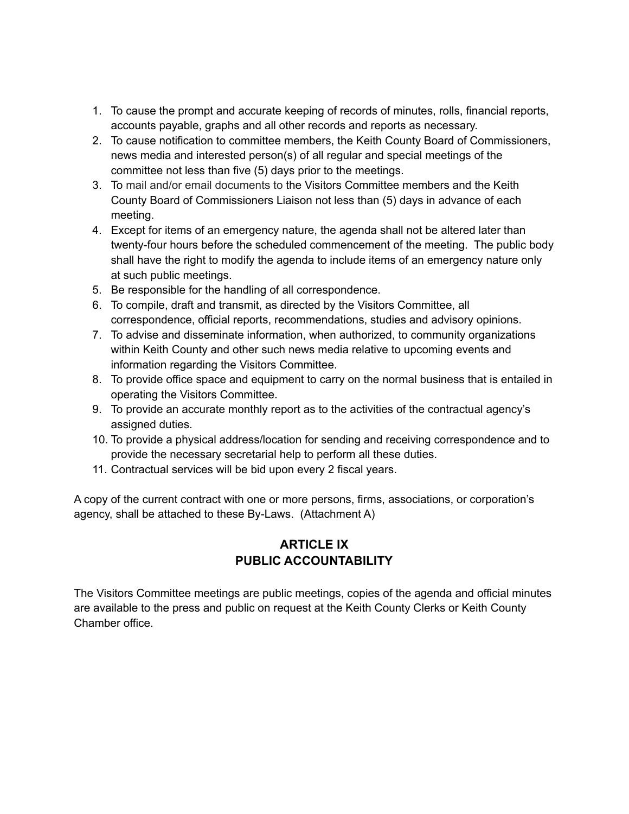- 1. To cause the prompt and accurate keeping of records of minutes, rolls, financial reports, accounts payable, graphs and all other records and reports as necessary.
- 2. To cause notification to committee members, the Keith County Board of Commissioners, news media and interested person(s) of all regular and special meetings of the committee not less than five (5) days prior to the meetings.
- 3. To mail and/or email documents to the Visitors Committee members and the Keith County Board of Commissioners Liaison not less than (5) days in advance of each meeting.
- 4. Except for items of an emergency nature, the agenda shall not be altered later than twenty-four hours before the scheduled commencement of the meeting. The public body shall have the right to modify the agenda to include items of an emergency nature only at such public meetings.
- 5. Be responsible for the handling of all correspondence.
- 6. To compile, draft and transmit, as directed by the Visitors Committee, all correspondence, official reports, recommendations, studies and advisory opinions.
- 7. To advise and disseminate information, when authorized, to community organizations within Keith County and other such news media relative to upcoming events and information regarding the Visitors Committee.
- 8. To provide office space and equipment to carry on the normal business that is entailed in operating the Visitors Committee.
- 9. To provide an accurate monthly report as to the activities of the contractual agency's assigned duties.
- 10. To provide a physical address/location for sending and receiving correspondence and to provide the necessary secretarial help to perform all these duties.
- 11. Contractual services will be bid upon every 2 fiscal years.

A copy of the current contract with one or more persons, firms, associations, or corporation's agency, shall be attached to these By-Laws. (Attachment A)

### **ARTICLE IX PUBLIC ACCOUNTABILITY**

The Visitors Committee meetings are public meetings, copies of the agenda and official minutes are available to the press and public on request at the Keith County Clerks or Keith County Chamber office.